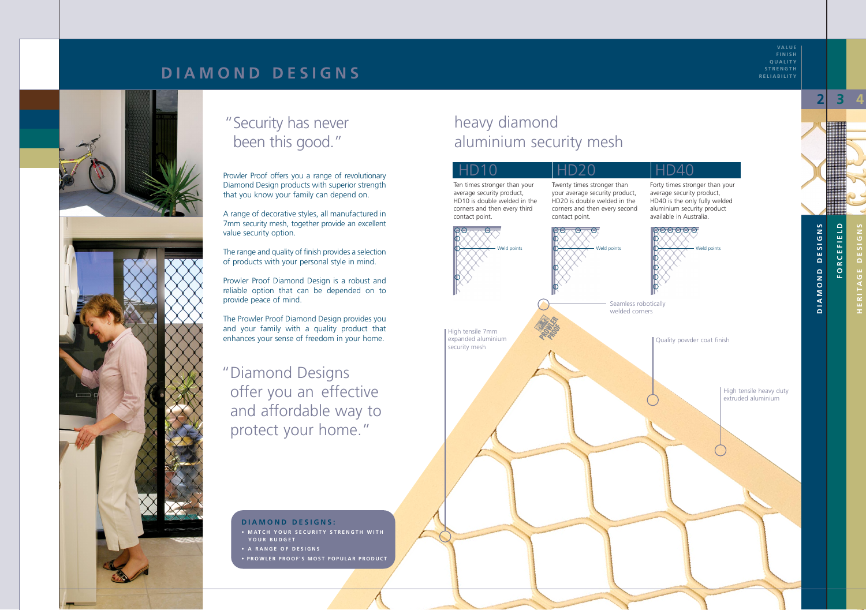## heavy diamond aluminium security mesh

**VALUE FINISH QUALITY STRENGTH RELIABILITY**

Prowler Proof offers you a range of revolutionary Diamond Design products with superior strength that you know your family can depend on.

A range of decorative styles, all manufactured in 7mm security mesh, together provide an excellent value security option.

The range and quality of finish provides a selection of products with your personal style in mind.

Prowler Proof Diamond Design is a robust and reliable option that can be depended on to provide peace of mind.

#### D10 Ten times stronger than your average security product, HD20 Twenty times stronger than

The Prowler Proof Diamond Design provides you and your family with a quality product that enhances your sense of freedom in your home.

"Diamond Designs offer you an effective and affordable way to protect your home."

### **DIAMOND DESIGNS:**

- **MATCH YOUR SECURITY STRENGTH WITH YOUR BUDGET**
- **A RANGE OF DESIGNS**
- **PROWLER PROOF'S MOST POPULAR PRODUCT**

HD10 is double welded in the corners and then every third contact point.

your average security product, HD20 is double welded in the corners and then every second contact point.

## HD40

Forty times stronger than your average security product, HD40 is the only fully welded aluminium security product available in Australia.



## **DIAMOND DESIGNS**



High tensile 7mm expanded aluminium security mesh

**DIAMOND DESIGNS**

DIAMOND

**DESIGNS** 



**FORCEFIELD**

ORCEFIELD

**HERITAGE DESIGNS**

**2 3 4**

Seamless robotically welded corners

## "Security has never been this good."